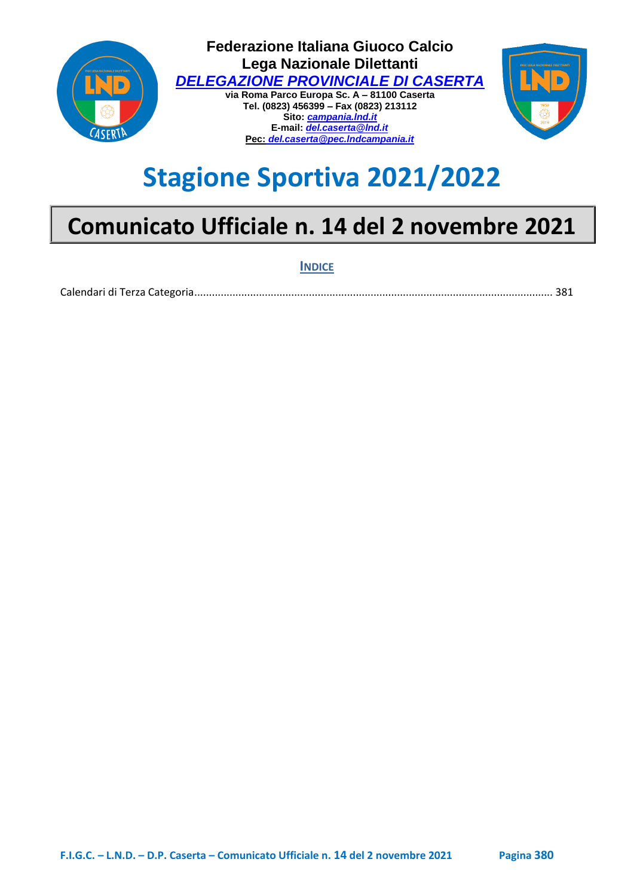

# **Stagione Sportiva 2021/2022**

## **Comunicato Ufficiale n. 14 del 2 novembre 2021**

**INDICE**

[Calendari di Terza Categoria ..........................................................................................................................](#page-1-0) 381